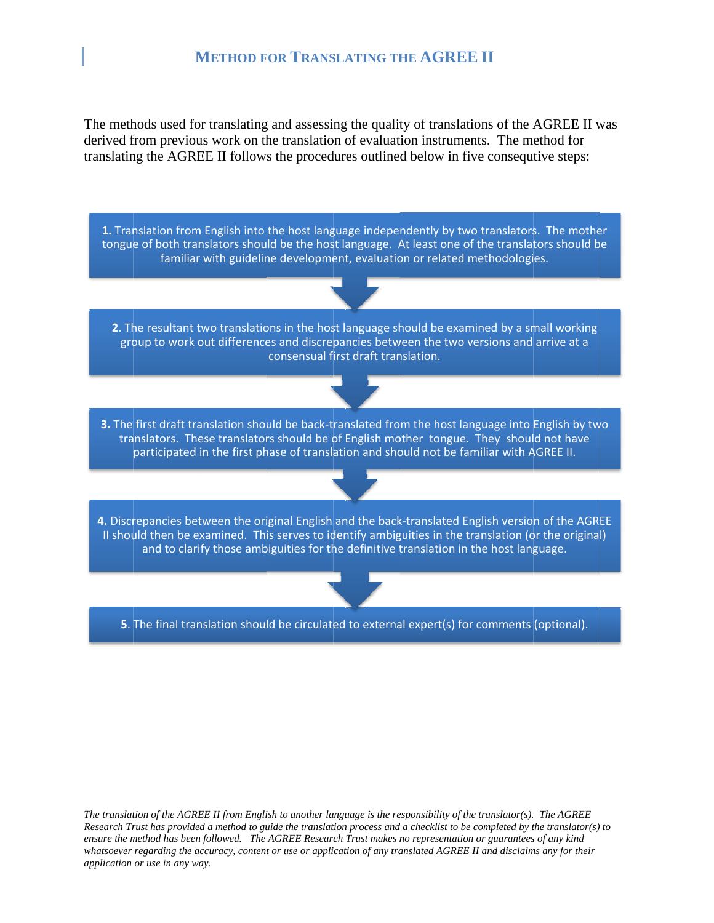The methods used for translating and assessing the quality of translations of the AGREE II was derived from previous work on the translation of evaluation instruments. The method for translating the AGREE II follows the procedures outlined below in five consequtive steps:



*Fhe translation of the AGREE II from English to another language is the responsibility of the translator(s). The AGREE Research Trust has provided a method to guide the translation process and a checklist to be completed by the translator(s) to ensure the m method has been n followed. The AGREE Resear rch Trust makes n no representatio on or guarantees s of any kind whatsoever regarding the a ccuracy, content t or use or appli ication of any tra anslated AGREE E II and disclaim ms any for their application or use in any way.*